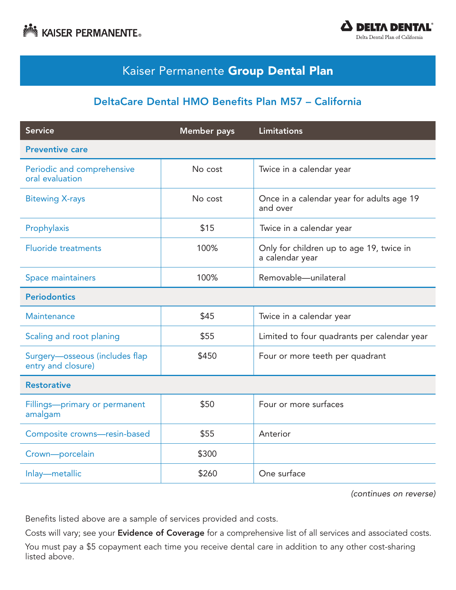



## Kaiser Permanente Group Dental Plan

#### DeltaCare Dental HMO Benefits Plan M57 – California

| <b>Service</b>                                       | <b>Member</b> pays | <b>Limitations</b>                                          |  |
|------------------------------------------------------|--------------------|-------------------------------------------------------------|--|
| <b>Preventive care</b>                               |                    |                                                             |  |
| Periodic and comprehensive<br>oral evaluation        | No cost            | Twice in a calendar year                                    |  |
| <b>Bitewing X-rays</b>                               | No cost            | Once in a calendar year for adults age 19<br>and over       |  |
| Prophylaxis                                          | \$15               | Twice in a calendar year                                    |  |
| <b>Fluoride treatments</b>                           | 100%               | Only for children up to age 19, twice in<br>a calendar year |  |
| Space maintainers                                    | 100%               | Removable-unilateral                                        |  |
| <b>Periodontics</b>                                  |                    |                                                             |  |
| Maintenance                                          | \$45               | Twice in a calendar year                                    |  |
| Scaling and root planing                             | \$55               | Limited to four quadrants per calendar year                 |  |
| Surgery-osseous (includes flap<br>entry and closure) | \$450              | Four or more teeth per quadrant                             |  |
| <b>Restorative</b>                                   |                    |                                                             |  |
| Fillings-primary or permanent<br>amalgam             | \$50               | Four or more surfaces                                       |  |
| Composite crowns-resin-based                         | \$55               | Anterior                                                    |  |
| Crown-porcelain                                      | \$300              |                                                             |  |
| Inlay-metallic                                       | \$260              | One surface                                                 |  |

*(continues on reverse)*

Benefits listed above are a sample of services provided and costs.

Costs will vary; see your Evidence of Coverage for a comprehensive list of all services and associated costs.

You must pay a \$5 copayment each time you receive dental care in addition to any other cost-sharing listed above.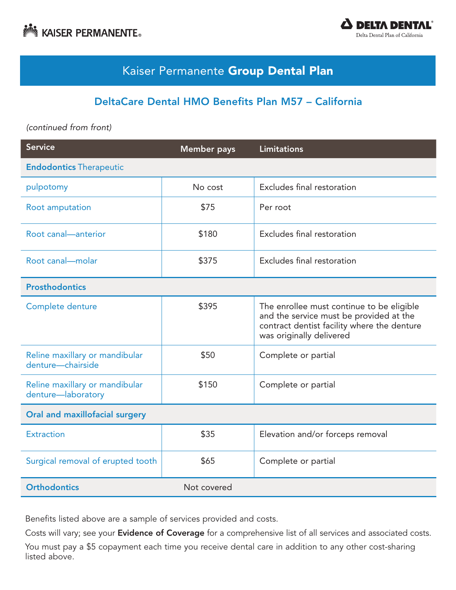



## Kaiser Permanente Group Dental Plan

#### DeltaCare Dental HMO Benefits Plan M57 – California

*(continued from front)*

| <b>Service</b>                                       | <b>Member</b> pays | <b>Limitations</b>                                                                                                                                              |  |
|------------------------------------------------------|--------------------|-----------------------------------------------------------------------------------------------------------------------------------------------------------------|--|
| <b>Endodontics Therapeutic</b>                       |                    |                                                                                                                                                                 |  |
| pulpotomy                                            | No cost            | Excludes final restoration                                                                                                                                      |  |
| Root amputation                                      | \$75               | Per root                                                                                                                                                        |  |
| Root canal-anterior                                  | \$180              | Excludes final restoration                                                                                                                                      |  |
| Root canal-molar                                     | \$375              | Excludes final restoration                                                                                                                                      |  |
| <b>Prosthodontics</b>                                |                    |                                                                                                                                                                 |  |
| Complete denture                                     | \$395              | The enrollee must continue to be eligible<br>and the service must be provided at the<br>contract dentist facility where the denture<br>was originally delivered |  |
| Reline maxillary or mandibular<br>denture-chairside  | \$50               | Complete or partial                                                                                                                                             |  |
| Reline maxillary or mandibular<br>denture-laboratory | \$150              | Complete or partial                                                                                                                                             |  |
| Oral and maxillofacial surgery                       |                    |                                                                                                                                                                 |  |
| <b>Extraction</b>                                    | \$35               | Elevation and/or forceps removal                                                                                                                                |  |
| Surgical removal of erupted tooth                    | \$65               | Complete or partial                                                                                                                                             |  |
| <b>Orthodontics</b>                                  | Not covered        |                                                                                                                                                                 |  |

Benefits listed above are a sample of services provided and costs.

Costs will vary; see your Evidence of Coverage for a comprehensive list of all services and associated costs.

You must pay a \$5 copayment each time you receive dental care in addition to any other cost-sharing listed above.